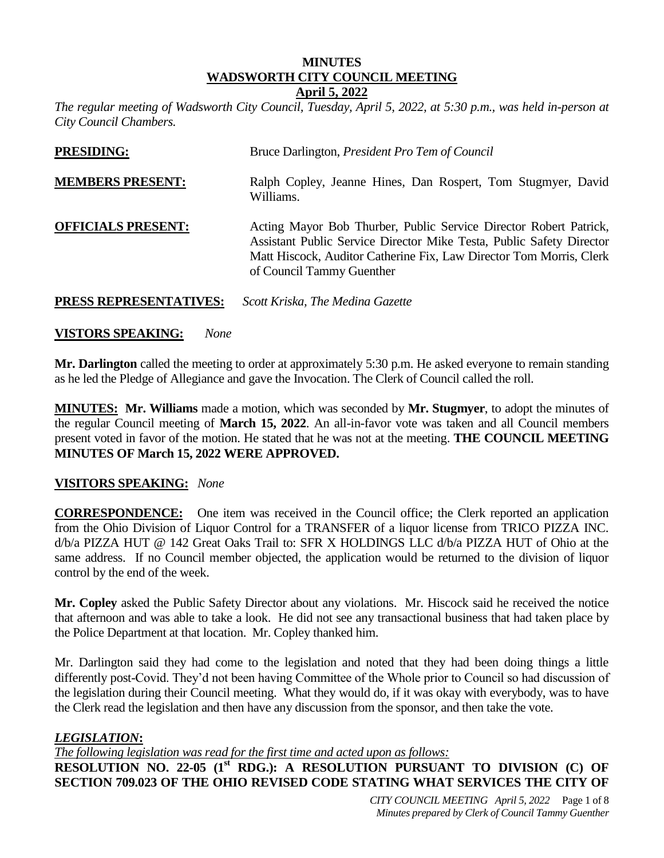#### **MINUTES WADSWORTH CITY COUNCIL MEETING April 5, 2022**

*The regular meeting of Wadsworth City Council, Tuesday, April 5, 2022, at 5:30 p.m., was held in-person at City Council Chambers.* 

| <b>PRESIDING:</b>             | Bruce Darlington, <i>President Pro Tem of Council</i>                                                                                                                                                                                         |
|-------------------------------|-----------------------------------------------------------------------------------------------------------------------------------------------------------------------------------------------------------------------------------------------|
| <b>MEMBERS PRESENT:</b>       | Ralph Copley, Jeanne Hines, Dan Rospert, Tom Stugmyer, David<br>Williams.                                                                                                                                                                     |
| <b>OFFICIALS PRESENT:</b>     | Acting Mayor Bob Thurber, Public Service Director Robert Patrick,<br>Assistant Public Service Director Mike Testa, Public Safety Director<br>Matt Hiscock, Auditor Catherine Fix, Law Director Tom Morris, Clerk<br>of Council Tammy Guenther |
| <b>PRESS REPRESENTATIVES:</b> | Scott Kriska, The Medina Gazette                                                                                                                                                                                                              |

### **VISTORS SPEAKING:** *None*

**Mr. Darlington** called the meeting to order at approximately 5:30 p.m. He asked everyone to remain standing as he led the Pledge of Allegiance and gave the Invocation. The Clerk of Council called the roll.

**MINUTES: Mr. Williams** made a motion, which was seconded by **Mr. Stugmyer**, to adopt the minutes of the regular Council meeting of **March 15, 2022**. An all-in-favor vote was taken and all Council members present voted in favor of the motion. He stated that he was not at the meeting. **THE COUNCIL MEETING MINUTES OF March 15, 2022 WERE APPROVED.**

#### **VISITORS SPEAKING:** *None*

**CORRESPONDENCE:** One item was received in the Council office; the Clerk reported an application from the Ohio Division of Liquor Control for a TRANSFER of a liquor license from TRICO PIZZA INC. d/b/a PIZZA HUT @ 142 Great Oaks Trail to: SFR X HOLDINGS LLC d/b/a PIZZA HUT of Ohio at the same address. If no Council member objected, the application would be returned to the division of liquor control by the end of the week.

**Mr. Copley** asked the Public Safety Director about any violations. Mr. Hiscock said he received the notice that afternoon and was able to take a look. He did not see any transactional business that had taken place by the Police Department at that location. Mr. Copley thanked him.

Mr. Darlington said they had come to the legislation and noted that they had been doing things a little differently post-Covid. They'd not been having Committee of the Whole prior to Council so had discussion of the legislation during their Council meeting. What they would do, if it was okay with everybody, was to have the Clerk read the legislation and then have any discussion from the sponsor, and then take the vote.

# *LEGISLATION***:**

*The following legislation was read for the first time and acted upon as follows:*

**RESOLUTION NO. 22-05 (1st RDG.): A RESOLUTION PURSUANT TO DIVISION (C) OF SECTION 709.023 OF THE OHIO REVISED CODE STATING WHAT SERVICES THE CITY OF**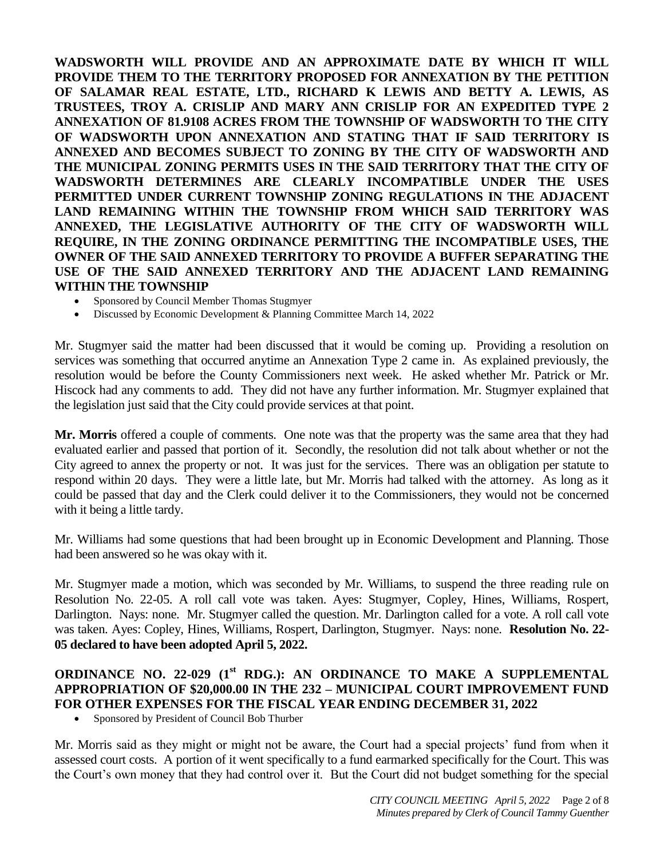**WADSWORTH WILL PROVIDE AND AN APPROXIMATE DATE BY WHICH IT WILL PROVIDE THEM TO THE TERRITORY PROPOSED FOR ANNEXATION BY THE PETITION OF SALAMAR REAL ESTATE, LTD., RICHARD K LEWIS AND BETTY A. LEWIS, AS TRUSTEES, TROY A. CRISLIP AND MARY ANN CRISLIP FOR AN EXPEDITED TYPE 2 ANNEXATION OF 81.9108 ACRES FROM THE TOWNSHIP OF WADSWORTH TO THE CITY OF WADSWORTH UPON ANNEXATION AND STATING THAT IF SAID TERRITORY IS ANNEXED AND BECOMES SUBJECT TO ZONING BY THE CITY OF WADSWORTH AND THE MUNICIPAL ZONING PERMITS USES IN THE SAID TERRITORY THAT THE CITY OF WADSWORTH DETERMINES ARE CLEARLY INCOMPATIBLE UNDER THE USES PERMITTED UNDER CURRENT TOWNSHIP ZONING REGULATIONS IN THE ADJACENT LAND REMAINING WITHIN THE TOWNSHIP FROM WHICH SAID TERRITORY WAS ANNEXED, THE LEGISLATIVE AUTHORITY OF THE CITY OF WADSWORTH WILL REQUIRE, IN THE ZONING ORDINANCE PERMITTING THE INCOMPATIBLE USES, THE OWNER OF THE SAID ANNEXED TERRITORY TO PROVIDE A BUFFER SEPARATING THE USE OF THE SAID ANNEXED TERRITORY AND THE ADJACENT LAND REMAINING WITHIN THE TOWNSHIP**

- Sponsored by Council Member Thomas Stugmyer
- Discussed by Economic Development & Planning Committee March 14, 2022

Mr. Stugmyer said the matter had been discussed that it would be coming up. Providing a resolution on services was something that occurred anytime an Annexation Type 2 came in. As explained previously, the resolution would be before the County Commissioners next week. He asked whether Mr. Patrick or Mr. Hiscock had any comments to add. They did not have any further information. Mr. Stugmyer explained that the legislation just said that the City could provide services at that point.

**Mr. Morris** offered a couple of comments. One note was that the property was the same area that they had evaluated earlier and passed that portion of it. Secondly, the resolution did not talk about whether or not the City agreed to annex the property or not. It was just for the services. There was an obligation per statute to respond within 20 days. They were a little late, but Mr. Morris had talked with the attorney. As long as it could be passed that day and the Clerk could deliver it to the Commissioners, they would not be concerned with it being a little tardy.

Mr. Williams had some questions that had been brought up in Economic Development and Planning. Those had been answered so he was okay with it.

Mr. Stugmyer made a motion, which was seconded by Mr. Williams, to suspend the three reading rule on Resolution No. 22-05. A roll call vote was taken. Ayes: Stugmyer, Copley, Hines, Williams, Rospert, Darlington. Nays: none. Mr. Stugmyer called the question. Mr. Darlington called for a vote. A roll call vote was taken. Ayes: Copley, Hines, Williams, Rospert, Darlington, Stugmyer. Nays: none. **Resolution No. 22- 05 declared to have been adopted April 5, 2022.**

# **ORDINANCE NO. 22-029 (1 st RDG.): AN ORDINANCE TO MAKE A SUPPLEMENTAL APPROPRIATION OF \$20,000.00 IN THE 232 – MUNICIPAL COURT IMPROVEMENT FUND FOR OTHER EXPENSES FOR THE FISCAL YEAR ENDING DECEMBER 31, 2022**

Sponsored by President of Council Bob Thurber

Mr. Morris said as they might or might not be aware, the Court had a special projects' fund from when it assessed court costs. A portion of it went specifically to a fund earmarked specifically for the Court. This was the Court's own money that they had control over it. But the Court did not budget something for the special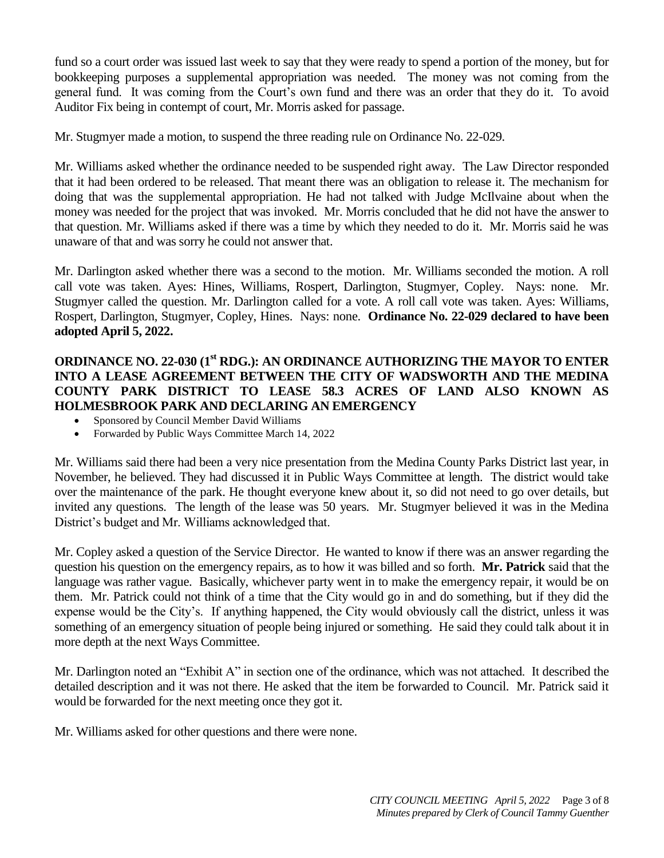fund so a court order was issued last week to say that they were ready to spend a portion of the money, but for bookkeeping purposes a supplemental appropriation was needed. The money was not coming from the general fund. It was coming from the Court's own fund and there was an order that they do it. To avoid Auditor Fix being in contempt of court, Mr. Morris asked for passage.

Mr. Stugmyer made a motion, to suspend the three reading rule on Ordinance No. 22-029.

Mr. Williams asked whether the ordinance needed to be suspended right away. The Law Director responded that it had been ordered to be released. That meant there was an obligation to release it. The mechanism for doing that was the supplemental appropriation. He had not talked with Judge McIlvaine about when the money was needed for the project that was invoked. Mr. Morris concluded that he did not have the answer to that question. Mr. Williams asked if there was a time by which they needed to do it. Mr. Morris said he was unaware of that and was sorry he could not answer that.

Mr. Darlington asked whether there was a second to the motion. Mr. Williams seconded the motion. A roll call vote was taken. Ayes: Hines, Williams, Rospert, Darlington, Stugmyer, Copley. Nays: none. Mr. Stugmyer called the question. Mr. Darlington called for a vote. A roll call vote was taken. Ayes: Williams, Rospert, Darlington, Stugmyer, Copley, Hines. Nays: none. **Ordinance No. 22-029 declared to have been adopted April 5, 2022.**

# **ORDINANCE NO. 22-030 (1st RDG.): AN ORDINANCE AUTHORIZING THE MAYOR TO ENTER INTO A LEASE AGREEMENT BETWEEN THE CITY OF WADSWORTH AND THE MEDINA COUNTY PARK DISTRICT TO LEASE 58.3 ACRES OF LAND ALSO KNOWN AS HOLMESBROOK PARK AND DECLARING AN EMERGENCY**

- Sponsored by Council Member David Williams
- Forwarded by Public Ways Committee March 14, 2022

Mr. Williams said there had been a very nice presentation from the Medina County Parks District last year, in November, he believed. They had discussed it in Public Ways Committee at length. The district would take over the maintenance of the park. He thought everyone knew about it, so did not need to go over details, but invited any questions. The length of the lease was 50 years. Mr. Stugmyer believed it was in the Medina District's budget and Mr. Williams acknowledged that.

Mr. Copley asked a question of the Service Director. He wanted to know if there was an answer regarding the question his question on the emergency repairs, as to how it was billed and so forth. **Mr. Patrick** said that the language was rather vague. Basically, whichever party went in to make the emergency repair, it would be on them. Mr. Patrick could not think of a time that the City would go in and do something, but if they did the expense would be the City's. If anything happened, the City would obviously call the district, unless it was something of an emergency situation of people being injured or something. He said they could talk about it in more depth at the next Ways Committee.

Mr. Darlington noted an "Exhibit A" in section one of the ordinance, which was not attached. It described the detailed description and it was not there. He asked that the item be forwarded to Council. Mr. Patrick said it would be forwarded for the next meeting once they got it.

Mr. Williams asked for other questions and there were none.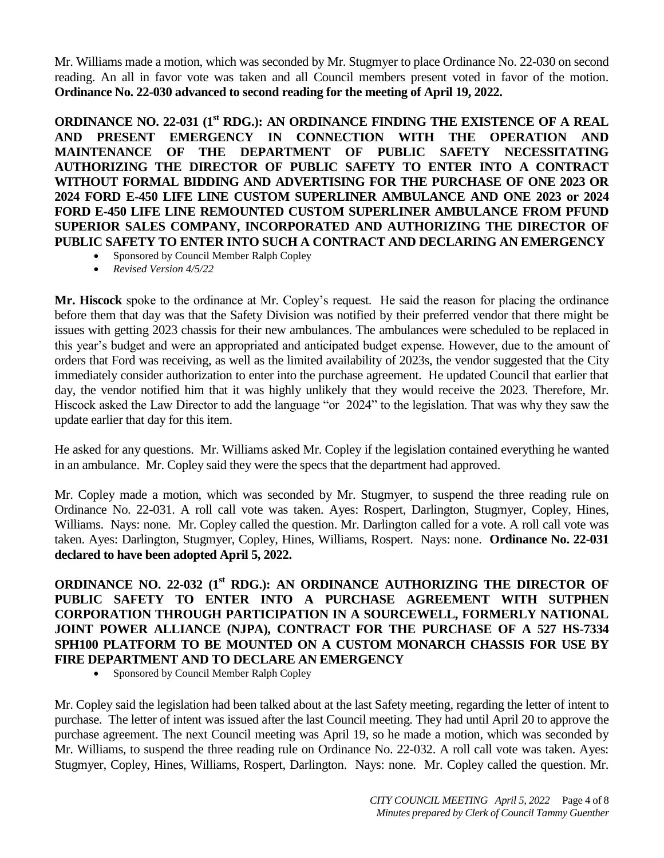Mr. Williams made a motion, which was seconded by Mr. Stugmyer to place Ordinance No. 22-030 on second reading. An all in favor vote was taken and all Council members present voted in favor of the motion. **Ordinance No. 22-030 advanced to second reading for the meeting of April 19, 2022.**

**ORDINANCE NO. 22-031 (1st RDG.): AN ORDINANCE FINDING THE EXISTENCE OF A REAL AND PRESENT EMERGENCY IN CONNECTION WITH THE OPERATION AND MAINTENANCE OF THE DEPARTMENT OF PUBLIC SAFETY NECESSITATING AUTHORIZING THE DIRECTOR OF PUBLIC SAFETY TO ENTER INTO A CONTRACT WITHOUT FORMAL BIDDING AND ADVERTISING FOR THE PURCHASE OF ONE 2023 OR 2024 FORD E-450 LIFE LINE CUSTOM SUPERLINER AMBULANCE AND ONE 2023 or 2024 FORD E-450 LIFE LINE REMOUNTED CUSTOM SUPERLINER AMBULANCE FROM PFUND SUPERIOR SALES COMPANY, INCORPORATED AND AUTHORIZING THE DIRECTOR OF PUBLIC SAFETY TO ENTER INTO SUCH A CONTRACT AND DECLARING AN EMERGENCY** 

- Sponsored by Council Member Ralph Copley
- *Revised Version 4/5/22*

**Mr. Hiscock** spoke to the ordinance at Mr. Copley's request. He said the reason for placing the ordinance before them that day was that the Safety Division was notified by their preferred vendor that there might be issues with getting 2023 chassis for their new ambulances. The ambulances were scheduled to be replaced in this year's budget and were an appropriated and anticipated budget expense. However, due to the amount of orders that Ford was receiving, as well as the limited availability of 2023s, the vendor suggested that the City immediately consider authorization to enter into the purchase agreement. He updated Council that earlier that day, the vendor notified him that it was highly unlikely that they would receive the 2023. Therefore, Mr. Hiscock asked the Law Director to add the language "or 2024" to the legislation. That was why they saw the update earlier that day for this item.

He asked for any questions. Mr. Williams asked Mr. Copley if the legislation contained everything he wanted in an ambulance. Mr. Copley said they were the specs that the department had approved.

Mr. Copley made a motion, which was seconded by Mr. Stugmyer, to suspend the three reading rule on Ordinance No. 22-031. A roll call vote was taken. Ayes: Rospert, Darlington, Stugmyer, Copley, Hines, Williams. Nays: none. Mr. Copley called the question. Mr. Darlington called for a vote. A roll call vote was taken. Ayes: Darlington, Stugmyer, Copley, Hines, Williams, Rospert. Nays: none. **Ordinance No. 22-031 declared to have been adopted April 5, 2022.**

**ORDINANCE NO. 22-032 (1st RDG.): AN ORDINANCE AUTHORIZING THE DIRECTOR OF PUBLIC SAFETY TO ENTER INTO A PURCHASE AGREEMENT WITH SUTPHEN CORPORATION THROUGH PARTICIPATION IN A SOURCEWELL, FORMERLY NATIONAL JOINT POWER ALLIANCE (NJPA), CONTRACT FOR THE PURCHASE OF A 527 HS-7334 SPH100 PLATFORM TO BE MOUNTED ON A CUSTOM MONARCH CHASSIS FOR USE BY FIRE DEPARTMENT AND TO DECLARE AN EMERGENCY**

Sponsored by Council Member Ralph Copley

Mr. Copley said the legislation had been talked about at the last Safety meeting, regarding the letter of intent to purchase. The letter of intent was issued after the last Council meeting. They had until April 20 to approve the purchase agreement. The next Council meeting was April 19, so he made a motion, which was seconded by Mr. Williams, to suspend the three reading rule on Ordinance No. 22-032. A roll call vote was taken. Ayes: Stugmyer, Copley, Hines, Williams, Rospert, Darlington. Nays: none. Mr. Copley called the question. Mr.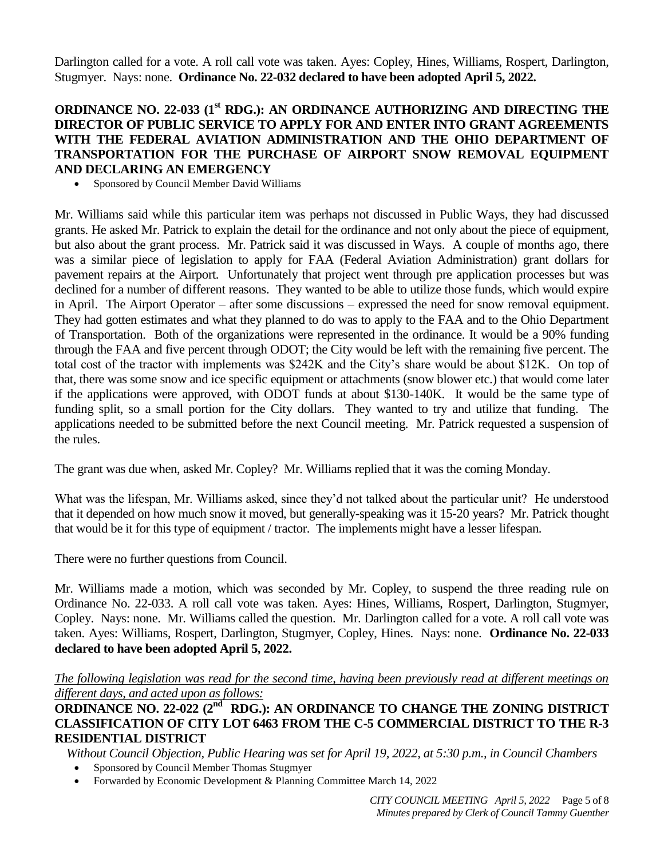Darlington called for a vote. A roll call vote was taken. Ayes: Copley, Hines, Williams, Rospert, Darlington, Stugmyer. Nays: none. **Ordinance No. 22-032 declared to have been adopted April 5, 2022.**

## **ORDINANCE NO. 22-033 (1st RDG.): AN ORDINANCE AUTHORIZING AND DIRECTING THE DIRECTOR OF PUBLIC SERVICE TO APPLY FOR AND ENTER INTO GRANT AGREEMENTS WITH THE FEDERAL AVIATION ADMINISTRATION AND THE OHIO DEPARTMENT OF TRANSPORTATION FOR THE PURCHASE OF AIRPORT SNOW REMOVAL EQUIPMENT AND DECLARING AN EMERGENCY**

• Sponsored by Council Member David Williams

Mr. Williams said while this particular item was perhaps not discussed in Public Ways, they had discussed grants. He asked Mr. Patrick to explain the detail for the ordinance and not only about the piece of equipment, but also about the grant process. Mr. Patrick said it was discussed in Ways. A couple of months ago, there was a similar piece of legislation to apply for FAA (Federal Aviation Administration) grant dollars for pavement repairs at the Airport. Unfortunately that project went through pre application processes but was declined for a number of different reasons. They wanted to be able to utilize those funds, which would expire in April. The Airport Operator – after some discussions – expressed the need for snow removal equipment. They had gotten estimates and what they planned to do was to apply to the FAA and to the Ohio Department of Transportation. Both of the organizations were represented in the ordinance. It would be a 90% funding through the FAA and five percent through ODOT; the City would be left with the remaining five percent. The total cost of the tractor with implements was \$242K and the City's share would be about \$12K. On top of that, there was some snow and ice specific equipment or attachments (snow blower etc.) that would come later if the applications were approved, with ODOT funds at about \$130-140K. It would be the same type of funding split, so a small portion for the City dollars. They wanted to try and utilize that funding. The applications needed to be submitted before the next Council meeting. Mr. Patrick requested a suspension of the rules.

The grant was due when, asked Mr. Copley? Mr. Williams replied that it was the coming Monday.

What was the lifespan, Mr. Williams asked, since they'd not talked about the particular unit? He understood that it depended on how much snow it moved, but generally-speaking was it 15-20 years? Mr. Patrick thought that would be it for this type of equipment / tractor. The implements might have a lesser lifespan.

There were no further questions from Council.

Mr. Williams made a motion, which was seconded by Mr. Copley, to suspend the three reading rule on Ordinance No. 22-033. A roll call vote was taken. Ayes: Hines, Williams, Rospert, Darlington, Stugmyer, Copley. Nays: none. Mr. Williams called the question. Mr. Darlington called for a vote. A roll call vote was taken. Ayes: Williams, Rospert, Darlington, Stugmyer, Copley, Hines. Nays: none. **Ordinance No. 22-033 declared to have been adopted April 5, 2022.**

*The following legislation was read for the second time, having been previously read at different meetings on different days, and acted upon as follows:* 

ORDINANCE NO. 22-022 (2<sup>nd</sup> RDG.): AN ORDINANCE TO CHANGE THE ZONING DISTRICT **CLASSIFICATION OF CITY LOT 6463 FROM THE C-5 COMMERCIAL DISTRICT TO THE R-3 RESIDENTIAL DISTRICT** 

*Without Council Objection, Public Hearing was set for April 19, 2022, at 5:30 p.m., in Council Chambers* 

- Sponsored by Council Member Thomas Stugmyer
- Forwarded by Economic Development & Planning Committee March 14, 2022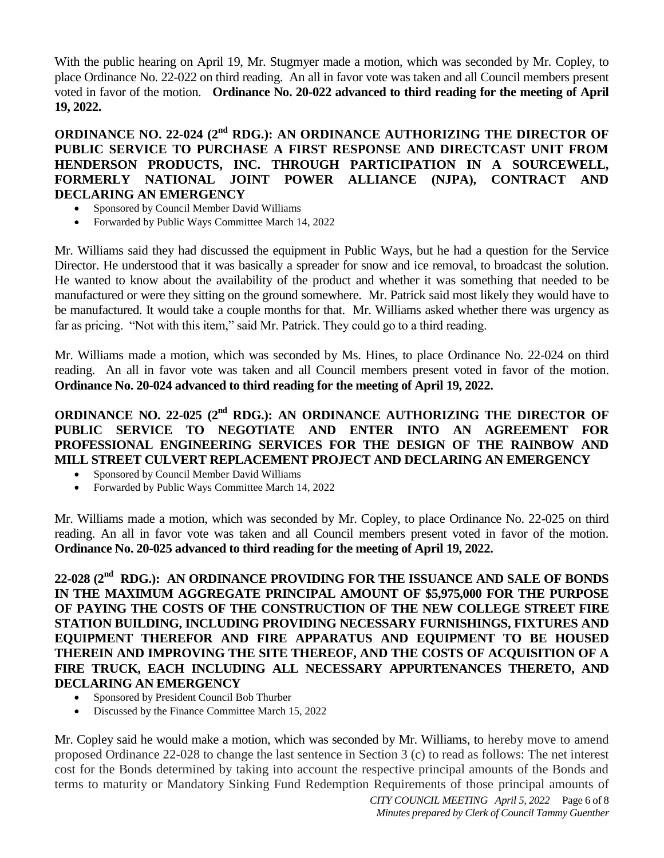With the public hearing on April 19, Mr. Stugmyer made a motion, which was seconded by Mr. Copley, to place Ordinance No. 22-022 on third reading. An all in favor vote was taken and all Council members present voted in favor of the motion. **Ordinance No. 20-022 advanced to third reading for the meeting of April 19, 2022.**

# **ORDINANCE NO. 22-024 (2<sup>nd</sup> RDG.): AN ORDINANCE AUTHORIZING THE DIRECTOR OF PUBLIC SERVICE TO PURCHASE A FIRST RESPONSE AND DIRECTCAST UNIT FROM HENDERSON PRODUCTS, INC. THROUGH PARTICIPATION IN A SOURCEWELL, FORMERLY NATIONAL JOINT POWER ALLIANCE (NJPA), CONTRACT AND DECLARING AN EMERGENCY**

- Sponsored by Council Member David Williams
- Forwarded by Public Ways Committee March 14, 2022

Mr. Williams said they had discussed the equipment in Public Ways, but he had a question for the Service Director. He understood that it was basically a spreader for snow and ice removal, to broadcast the solution. He wanted to know about the availability of the product and whether it was something that needed to be manufactured or were they sitting on the ground somewhere. Mr. Patrick said most likely they would have to be manufactured. It would take a couple months for that. Mr. Williams asked whether there was urgency as far as pricing. "Not with this item," said Mr. Patrick. They could go to a third reading.

Mr. Williams made a motion, which was seconded by Ms. Hines, to place Ordinance No. 22-024 on third reading. An all in favor vote was taken and all Council members present voted in favor of the motion. **Ordinance No. 20-024 advanced to third reading for the meeting of April 19, 2022.**

**ORDINANCE NO. 22-025 (2<sup>nd</sup> RDG.): AN ORDINANCE AUTHORIZING THE DIRECTOR OF PUBLIC SERVICE TO NEGOTIATE AND ENTER INTO AN AGREEMENT FOR PROFESSIONAL ENGINEERING SERVICES FOR THE DESIGN OF THE RAINBOW AND MILL STREET CULVERT REPLACEMENT PROJECT AND DECLARING AN EMERGENCY** 

- Sponsored by Council Member David Williams
- Forwarded by Public Ways Committee March 14, 2022

Mr. Williams made a motion, which was seconded by Mr. Copley, to place Ordinance No. 22-025 on third reading. An all in favor vote was taken and all Council members present voted in favor of the motion. **Ordinance No. 20-025 advanced to third reading for the meeting of April 19, 2022.**

22-028 (2<sup>nd</sup> RDG.): AN ORDINANCE PROVIDING FOR THE ISSUANCE AND SALE OF BONDS **IN THE MAXIMUM AGGREGATE PRINCIPAL AMOUNT OF \$5,975,000 FOR THE PURPOSE OF PAYING THE COSTS OF THE CONSTRUCTION OF THE NEW COLLEGE STREET FIRE STATION BUILDING, INCLUDING PROVIDING NECESSARY FURNISHINGS, FIXTURES AND EQUIPMENT THEREFOR AND FIRE APPARATUS AND EQUIPMENT TO BE HOUSED THEREIN AND IMPROVING THE SITE THEREOF, AND THE COSTS OF ACQUISITION OF A FIRE TRUCK, EACH INCLUDING ALL NECESSARY APPURTENANCES THERETO, AND DECLARING AN EMERGENCY**

- Sponsored by President Council Bob Thurber
- Discussed by the Finance Committee March 15, 2022

Mr. Copley said he would make a motion, which was seconded by Mr. Williams, to hereby move to amend proposed Ordinance 22-028 to change the last sentence in Section 3 (c) to read as follows: The net interest cost for the Bonds determined by taking into account the respective principal amounts of the Bonds and terms to maturity or Mandatory Sinking Fund Redemption Requirements of those principal amounts of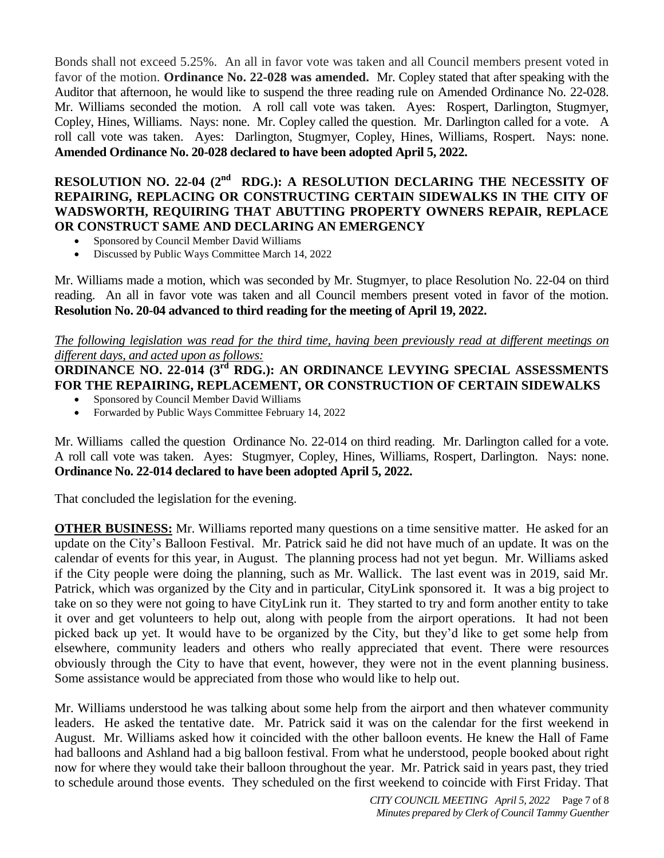Bonds shall not exceed 5.25%. An all in favor vote was taken and all Council members present voted in favor of the motion. **Ordinance No. 22-028 was amended.** Mr. Copley stated that after speaking with the Auditor that afternoon, he would like to suspend the three reading rule on Amended Ordinance No. 22-028. Mr. Williams seconded the motion. A roll call vote was taken. Ayes: Rospert, Darlington, Stugmyer, Copley, Hines, Williams. Nays: none. Mr. Copley called the question. Mr. Darlington called for a vote. A roll call vote was taken. Ayes: Darlington, Stugmyer, Copley, Hines, Williams, Rospert. Nays: none. **Amended Ordinance No. 20-028 declared to have been adopted April 5, 2022.**

# **RESOLUTION NO. 22-04 (2<sup>nd</sup> RDG.): A RESOLUTION DECLARING THE NECESSITY OF REPAIRING, REPLACING OR CONSTRUCTING CERTAIN SIDEWALKS IN THE CITY OF WADSWORTH, REQUIRING THAT ABUTTING PROPERTY OWNERS REPAIR, REPLACE OR CONSTRUCT SAME AND DECLARING AN EMERGENCY**

- Sponsored by Council Member David Williams
- Discussed by Public Ways Committee March 14, 2022

Mr. Williams made a motion, which was seconded by Mr. Stugmyer, to place Resolution No. 22-04 on third reading. An all in favor vote was taken and all Council members present voted in favor of the motion. **Resolution No. 20-04 advanced to third reading for the meeting of April 19, 2022.**

### *The following legislation was read for the third time, having been previously read at different meetings on different days, and acted upon as follows:*

#### **ORDINANCE NO. 22-014 (3<sup>rd</sup> RDG.): AN ORDINANCE LEVYING SPECIAL ASSESSMENTS FOR THE REPAIRING, REPLACEMENT, OR CONSTRUCTION OF CERTAIN SIDEWALKS**

- Sponsored by Council Member David Williams
- Forwarded by Public Ways Committee February 14, 2022

Mr. Williams called the question Ordinance No. 22-014 on third reading. Mr. Darlington called for a vote. A roll call vote was taken. Ayes: Stugmyer, Copley, Hines, Williams, Rospert, Darlington. Nays: none. **Ordinance No. 22-014 declared to have been adopted April 5, 2022.**

That concluded the legislation for the evening.

**OTHER BUSINESS:** Mr. Williams reported many questions on a time sensitive matter. He asked for an update on the City's Balloon Festival. Mr. Patrick said he did not have much of an update. It was on the calendar of events for this year, in August. The planning process had not yet begun. Mr. Williams asked if the City people were doing the planning, such as Mr. Wallick. The last event was in 2019, said Mr. Patrick, which was organized by the City and in particular, CityLink sponsored it. It was a big project to take on so they were not going to have CityLink run it. They started to try and form another entity to take it over and get volunteers to help out, along with people from the airport operations. It had not been picked back up yet. It would have to be organized by the City, but they'd like to get some help from elsewhere, community leaders and others who really appreciated that event. There were resources obviously through the City to have that event, however, they were not in the event planning business. Some assistance would be appreciated from those who would like to help out.

Mr. Williams understood he was talking about some help from the airport and then whatever community leaders. He asked the tentative date. Mr. Patrick said it was on the calendar for the first weekend in August. Mr. Williams asked how it coincided with the other balloon events. He knew the Hall of Fame had balloons and Ashland had a big balloon festival. From what he understood, people booked about right now for where they would take their balloon throughout the year. Mr. Patrick said in years past, they tried to schedule around those events. They scheduled on the first weekend to coincide with First Friday. That